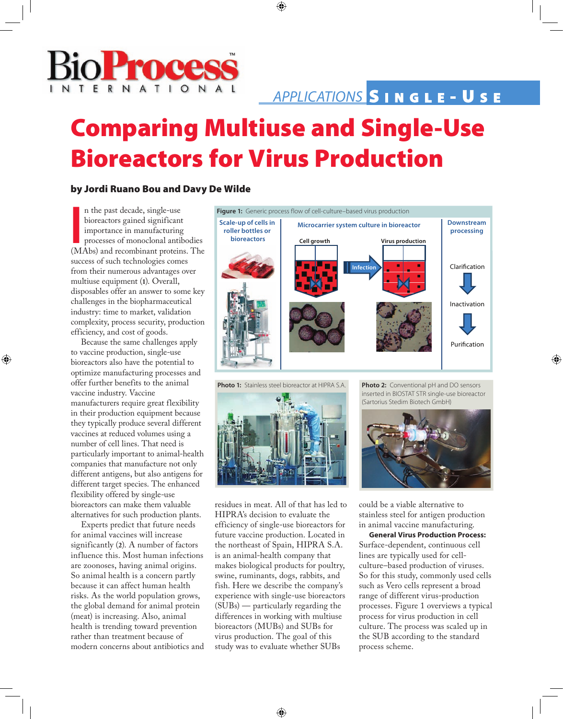

# Comparing Multiuse and Single-Use Bioreactors for Virus Production

## by Jordi Ruano Bou and Davy De Wilde

In the plate declare), angle declared the processes of monoclonal antibodies (MAbs) and recombinant proteins. The n the past decade, single-use bioreactors gained significant importance in manufacturing processes of monoclonal antibodies success of such technologies comes from their numerous advantages over multiuse equipment (**1**). Overall, disposables offer an answer to some key challenges in the biopharmaceutical industry: time to market, validation complexity, process security, production efficiency, and cost of goods.

Because the same challenges apply to vaccine production, single-use bioreactors also have the potential to optimize manufacturing processes and offer further benefits to the animal vaccine industry. Vaccine manufacturers require great flexibility in their production equipment because they typically produce several different vaccines at reduced volumes using a number of cell lines. That need is particularly important to animal-health companies that manufacture not only different antigens, but also antigens for different target species. The enhanced flexibility offered by single-use bioreactors can make them valuable alternatives for such production plants.

Experts predict that future needs for animal vaccines will increase significantly (**2**). A number of factors influence this. Most human infections are zoonoses, having animal origins. So animal health is a concern partly because it can affect human health risks. As the world population grows, the global demand for animal protein (meat) is increasing. Also, animal health is trending toward prevention rather than treatment because of modern concerns about antibiotics and



**Photo 1:** Stainless steel bioreactor at HIPRA S.A. **Photo 2:** Conventional pH and DO sensors



residues in meat. All of that has led to HIPRA's decision to evaluate the efficiency of single-use bioreactors for future vaccine production. Located in the northeast of Spain, HIPRA S.A. is an animal-health company that makes biological products for poultry, swine, ruminants, dogs, rabbits, and fish. Here we describe the company's experience with single-use bioreactors (SUBs) — particularly regarding the differences in working with multiuse bioreactors (MUBs) and SUBs for virus production. The goal of this study was to evaluate whether SUBs

inserted in BIOSTAT STR single-use bioreactor (Sartorius Stedim Biotech GmbH)



could be a viable alternative to stainless steel for antigen production in animal vaccine manufacturing.

**General Virus Production Process:**  Surface-dependent, continuous cell lines are typically used for cellculture–based production of viruses. So for this study, commonly used cells such as Vero cells represent a broad range of different virus-production processes. Figure 1 overviews a typical process for virus production in cell culture. The process was scaled up in the SUB according to the standard process scheme.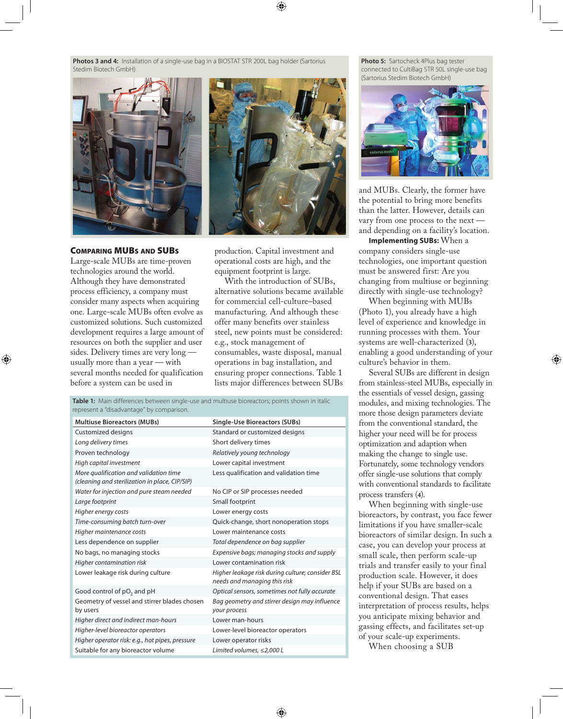**Photos 3 and 4:** Installation of a single-use bag in a BIOSTAT STR 200L bag holder (Sartorius Stedim Biotech GmbH)



#### Comparing MUBs and SUBs

Large-scale MUBs are time-proven technologies around the world. Although they have demonstrated process efficiency, a company must consider many aspects when acquiring one. Large-scale MUBs often evolve as customized solutions. Such customized development requires a large amount of resources on both the supplier and user sides. Delivery times are very long usually more than a year — with several months needed for qualification before a system can be used in



production. Capital investment and operational costs are high, and the equipment footprint is large.

With the introduction of SUBs. alternative solutions became available for commercial cell-culture–based manufacturing. And although these offer many benefits over stainless steel, new points must be considered: e.g., stock management of consumables, waste disposal, manual operations in bag installation, and ensuring proper connections. Table 1 lists major differences between SUBs

represent a "disadvantage" by comparison. **Multiuse Bioreactors (MUBs) Single-Use Bioreactors (SUBs)** Customized designs Customized designs **Long delivery times** Short delivery times Proven technology *Relatively young technology High capital investment* Lower capital investment *More qualification and validation time (cleaning and sterilization in place, CIP/SIP)* Less qualification and validation time Water for injection and pure steam needed No CIP or SIP processes needed **Large footprint Small footprint** *Higher energy costs* Lower energy costs *Time-consuming batch turn-over* Quick-change, short nonoperation stops *Higher maintenance costs* Lower maintenance costs Less dependence on supplier *Total dependence on bag supplier* No bags, no managing stocks *Expensive bags; managing stocks and supply Higher contamination risk* Lower contamination risk Lower leakage risk during culture *Higher leakage risk during culture; consider BSL needs and managing this risk* Good control of pO<sub>2</sub> and pH *Optical sensors, sometimes not fully accurate* Geometry of vessel and stirrer blades chosen by users *Bag geometry and stirrer design may influence your process Higher direct and indirect man-hours* Lower man-hours *Higher-level bioreactor operators* Lower-level bioreactor operators *Higher operator risk: e.g., hot pipes, pressure* Lower operator risks Suitable for any bioreactor volume *Limited volumes, ≤2,000 L*

Table 1: Main differences between single-use and multiuse bioreactors; points shown in italic

**Photo 5:** Sartocheck 4Plus bag tester connected to CultiBag STR 50L single-use bag (Sartorius Stedim Biotech GmbH)



and MUBs. Clearly, the former have the potential to bring more benefits than the latter. However, details can vary from one process to the next and depending on a facility's location.

**Implementing SUBs:** When a company considers single-use technologies, one important question must be answered first: Are you changing from multiuse or beginning directly with single-use technology?

When beginning with MUBs (Photo 1), you already have a high level of experience and knowledge in running processes with them. Your systems are well-characterized (**3**), enabling a good understanding of your culture's behavior in them.

Several SUBs are different in design from stainless-steel MUBs, especially in the essentials of vessel design, gassing modules, and mixing technologies. The more those design parameters deviate from the conventional standard, the higher your need will be for process optimization and adaption when making the change to single use. Fortunately, some technology vendors offer single-use solutions that comply with conventional standards to facilitate process transfers (**4**).

When beginning with single-use bioreactors, by contrast, you face fewer limitations if you have smaller-scale bioreactors of similar design. In such a case, you can develop your process at small scale, then perform scale-up trials and transfer easily to your final production scale. However, it does help if your SUBs are based on a conventional design. That eases interpretation of process results, helps you anticipate mixing behavior and gassing effects, and facilitates set-up of your scale-up experiments.

When choosing a SUB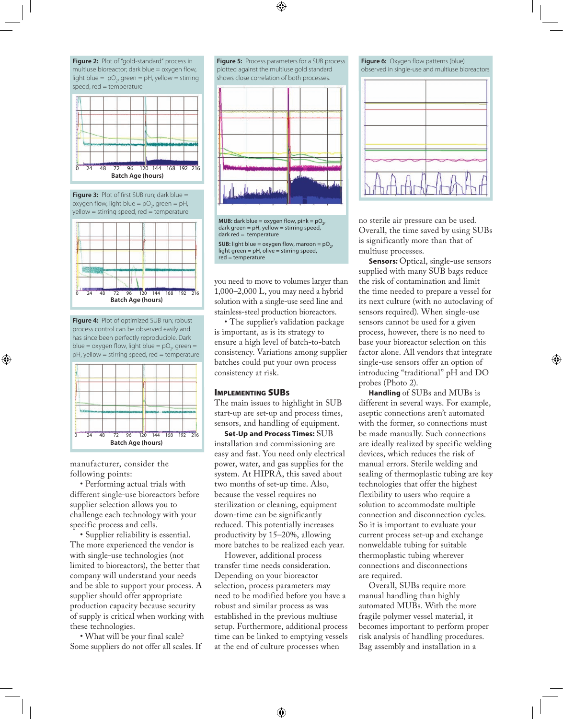**Figure 2:** Plot of "gold-standard" process in multiuse bioreactor; dark blue = oxygen flow, light blue =  $pO_2$ , green = pH, yellow = stirring speed, red = temperature



**Figure 3:** Plot of first SUB run; dark blue = oxygen flow, light blue =  $pO_2$ , green = pH, yellow = stirring speed, red = temperature



**Figure 4:** Plot of optimized SUB run; robust process control can be observed easily and has since been perfectly reproducible. Dark blue = oxygen flow, light blue =  $pO_2$ , green = pH, yellow = stirring speed, red = temperature



manufacturer, consider the following points:

• Performing actual trials with different single-use bioreactors before supplier selection allows you to challenge each technology with your specific process and cells.

• Supplier reliability is essential. The more experienced the vendor is with single-use technologies (not limited to bioreactors), the better that company will understand your needs and be able to support your process. A supplier should offer appropriate production capacity because security of supply is critical when working with these technologies.

• What will be your final scale? Some suppliers do not offer all scales. If **Figure 5:** Process parameters for a SUB process plotted against the multiuse gold standard shows close correlation of both processes.





you need to move to volumes larger than 1,000–2,000 L, you may need a hybrid solution with a single-use seed line and stainless-steel production bioreactors.

• The supplier's validation package is important, as is its strategy to ensure a high level of batch-to-batch consistency. Variations among supplier batches could put your own process consistency at risk.

#### Implementing SUBs

The main issues to highlight in SUB start-up are set-up and process times, sensors, and handling of equipment.

**Set-Up and Process Times:** SUB installation and commissioning are easy and fast. You need only electrical power, water, and gas supplies for the system. At HIPRA, this saved about two months of set-up time. Also, because the vessel requires no sterilization or cleaning, equipment down-time can be significantly reduced. This potentially increases productivity by 15–20%, allowing more batches to be realized each year.

However, additional process transfer time needs consideration. Depending on your bioreactor selection, process parameters may need to be modified before you have a robust and similar process as was established in the previous multiuse setup. Furthermore, additional process time can be linked to emptying vessels at the end of culture processes when

**Figure 6:** Oxygen flow patterns (blue) observed in single-use and multiuse bioreactors



no sterile air pressure can be used. Overall, the time saved by using SUBs is significantly more than that of multiuse processes.

**Sensors:** Optical, single-use sensors supplied with many SUB bags reduce the risk of contamination and limit the time needed to prepare a vessel for its next culture (with no autoclaving of sensors required). When single-use sensors cannot be used for a given process, however, there is no need to base your bioreactor selection on this factor alone. All vendors that integrate single-use sensors offer an option of introducing "traditional" pH and DO probes (Photo 2).

**Handling** of SUBs and MUBs is different in several ways. For example, aseptic connections aren't automated with the former, so connections must be made manually. Such connections are ideally realized by specific welding devices, which reduces the risk of manual errors. Sterile welding and sealing of thermoplastic tubing are key technologies that offer the highest flexibility to users who require a solution to accommodate multiple connection and disconnection cycles. So it is important to evaluate your current process set-up and exchange nonweldable tubing for suitable thermoplastic tubing wherever connections and disconnections are required.

Overall, SUBs require more manual handling than highly automated MUBs. With the more fragile polymer vessel material, it becomes important to perform proper risk analysis of handling procedures. Bag assembly and installation in a